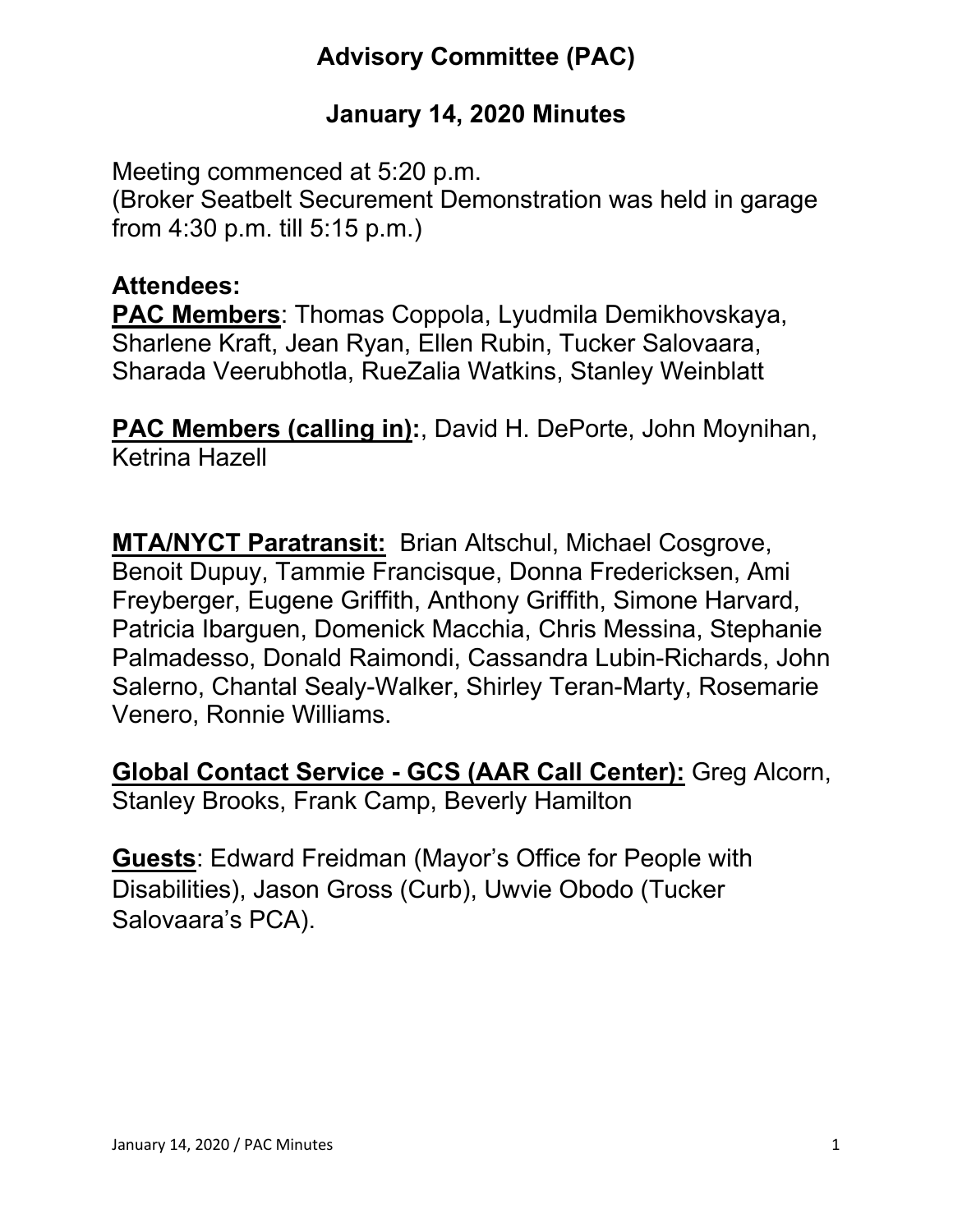# **Advisory Committee (PAC)**

## **January 14, 2020 Minutes**

Meeting commenced at 5:20 p.m. (Broker Seatbelt Securement Demonstration was held in garage from 4:30 p.m. till 5:15 p.m.)

#### **Attendees:**

**PAC Members**: Thomas Coppola, Lyudmila Demikhovskaya, Sharlene Kraft, Jean Ryan, Ellen Rubin, Tucker Salovaara, Sharada Veerubhotla, RueZalia Watkins, Stanley Weinblatt

**PAC Members (calling in):**, David H. DePorte, John Moynihan, Ketrina Hazell

**MTA/NYCT Paratransit:** Brian Altschul, Michael Cosgrove, Benoit Dupuy, Tammie Francisque, Donna Fredericksen, Ami Freyberger, Eugene Griffith, Anthony Griffith, Simone Harvard, Patricia Ibarguen, Domenick Macchia, Chris Messina, Stephanie Palmadesso, Donald Raimondi, Cassandra Lubin-Richards, John Salerno, Chantal Sealy-Walker, Shirley Teran-Marty, Rosemarie Venero, Ronnie Williams.

**Global Contact Service - GCS (AAR Call Center):** Greg Alcorn, Stanley Brooks, Frank Camp, Beverly Hamilton

**Guests**: Edward Freidman (Mayor's Office for People with Disabilities), Jason Gross (Curb), Uwvie Obodo (Tucker Salovaara's PCA).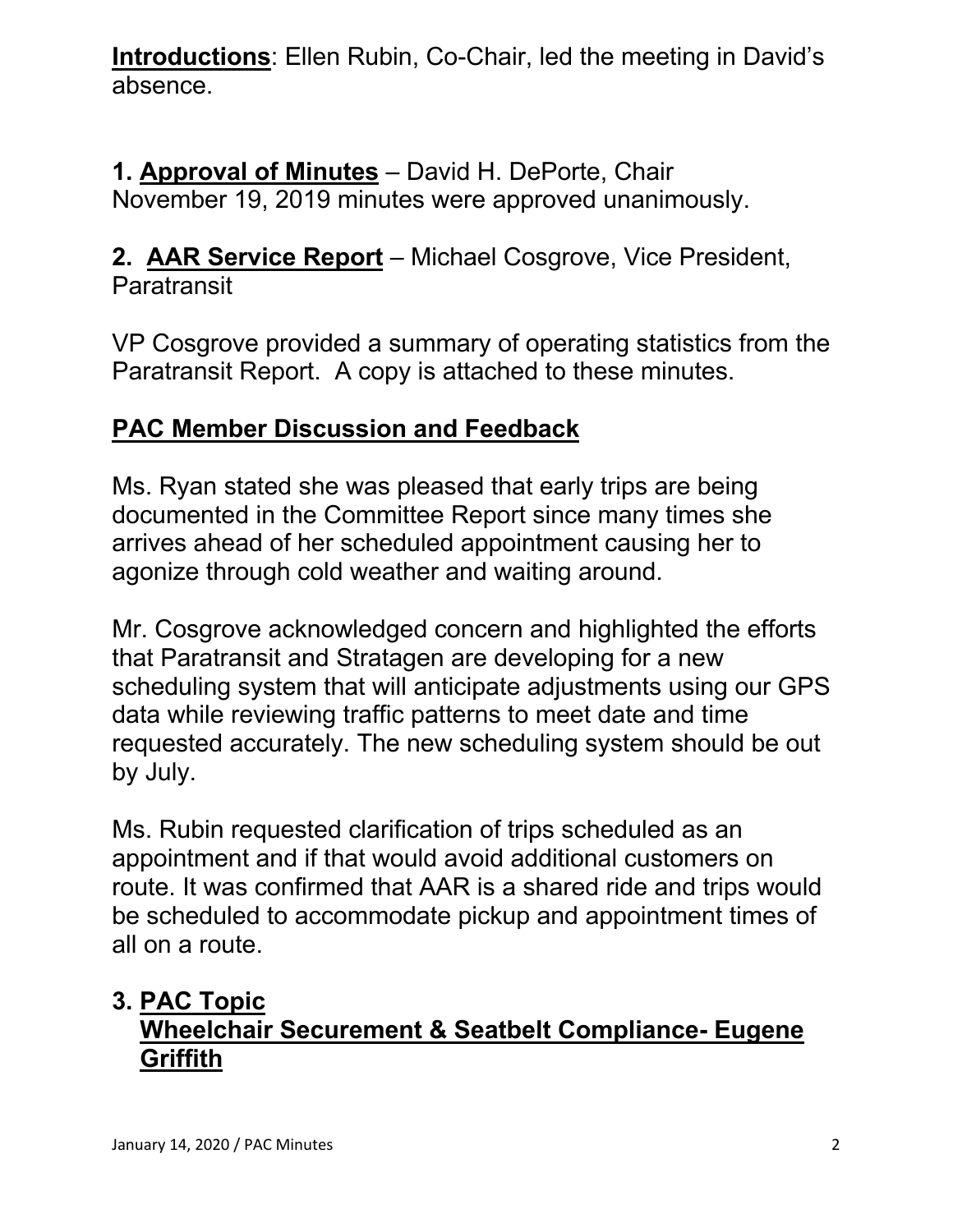**Introductions**: Ellen Rubin, Co-Chair, led the meeting in David's absence.

## **1. Approval of Minutes** – David H. DePorte, Chair November 19, 2019 minutes were approved unanimously.

### **2. AAR Service Report** – Michael Cosgrove, Vice President, **Paratransit**

VP Cosgrove provided a summary of operating statistics from the Paratransit Report. A copy is attached to these minutes.

## **PAC Member Discussion and Feedback**

Ms. Ryan stated she was pleased that early trips are being documented in the Committee Report since many times she arrives ahead of her scheduled appointment causing her to agonize through cold weather and waiting around.

Mr. Cosgrove acknowledged concern and highlighted the efforts that Paratransit and Stratagen are developing for a new scheduling system that will anticipate adjustments using our GPS data while reviewing traffic patterns to meet date and time requested accurately. The new scheduling system should be out by July.

Ms. Rubin requested clarification of trips scheduled as an appointment and if that would avoid additional customers on route. It was confirmed that AAR is a shared ride and trips would be scheduled to accommodate pickup and appointment times of all on a route.

## **3. PAC Topic Wheelchair Securement & Seatbelt Compliance- Eugene Griffith**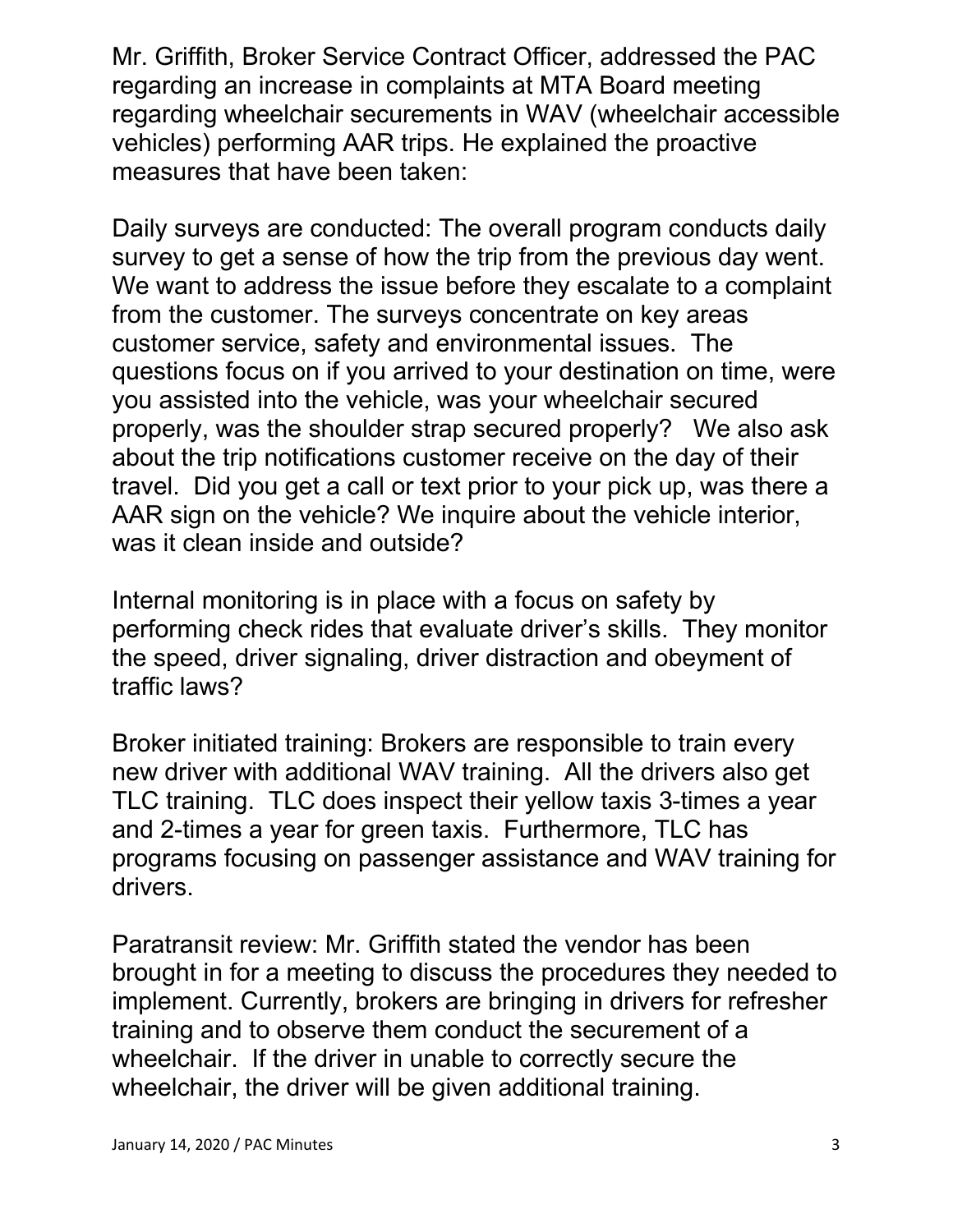Mr. Griffith, Broker Service Contract Officer, addressed the PAC regarding an increase in complaints at MTA Board meeting regarding wheelchair securements in WAV (wheelchair accessible vehicles) performing AAR trips. He explained the proactive measures that have been taken:

Daily surveys are conducted: The overall program conducts daily survey to get a sense of how the trip from the previous day went. We want to address the issue before they escalate to a complaint from the customer. The surveys concentrate on key areas customer service, safety and environmental issues. The questions focus on if you arrived to your destination on time, were you assisted into the vehicle, was your wheelchair secured properly, was the shoulder strap secured properly? We also ask about the trip notifications customer receive on the day of their travel. Did you get a call or text prior to your pick up, was there a AAR sign on the vehicle? We inquire about the vehicle interior, was it clean inside and outside?

Internal monitoring is in place with a focus on safety by performing check rides that evaluate driver's skills. They monitor the speed, driver signaling, driver distraction and obeyment of traffic laws?

Broker initiated training: Brokers are responsible to train every new driver with additional WAV training. All the drivers also get TLC training. TLC does inspect their yellow taxis 3-times a year and 2-times a year for green taxis. Furthermore, TLC has programs focusing on passenger assistance and WAV training for drivers.

Paratransit review: Mr. Griffith stated the vendor has been brought in for a meeting to discuss the procedures they needed to implement. Currently, brokers are bringing in drivers for refresher training and to observe them conduct the securement of a wheelchair. If the driver in unable to correctly secure the wheelchair, the driver will be given additional training.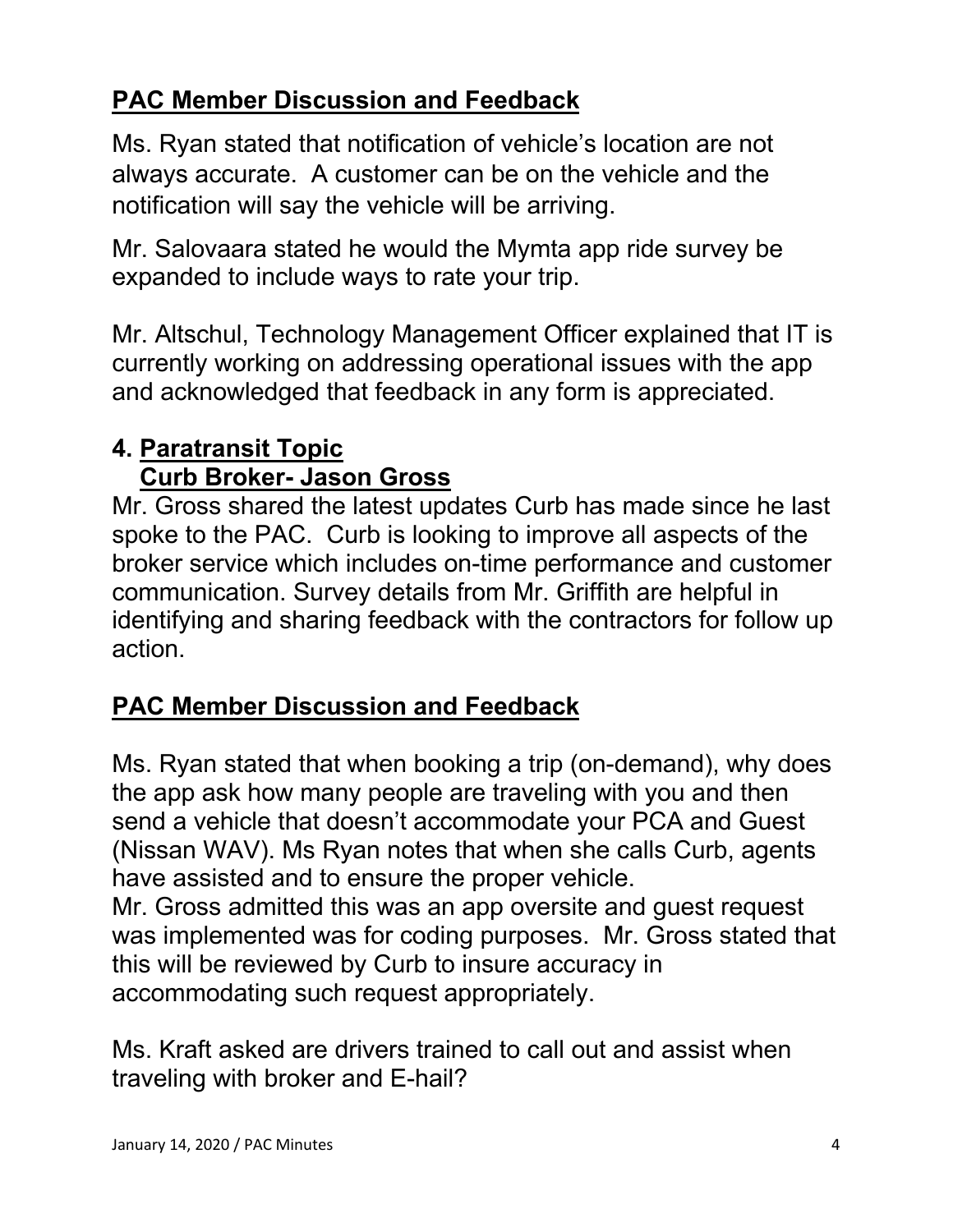# **PAC Member Discussion and Feedback**

Ms. Ryan stated that notification of vehicle's location are not always accurate. A customer can be on the vehicle and the notification will say the vehicle will be arriving.

Mr. Salovaara stated he would the Mymta app ride survey be expanded to include ways to rate your trip.

Mr. Altschul, Technology Management Officer explained that IT is currently working on addressing operational issues with the app and acknowledged that feedback in any form is appreciated.

## **4. Paratransit Topic Curb Broker- Jason Gross**

Mr. Gross shared the latest updates Curb has made since he last spoke to the PAC. Curb is looking to improve all aspects of the broker service which includes on-time performance and customer communication. Survey details from Mr. Griffith are helpful in identifying and sharing feedback with the contractors for follow up action.

# **PAC Member Discussion and Feedback**

Ms. Ryan stated that when booking a trip (on-demand), why does the app ask how many people are traveling with you and then send a vehicle that doesn't accommodate your PCA and Guest (Nissan WAV). Ms Ryan notes that when she calls Curb, agents have assisted and to ensure the proper vehicle. Mr. Gross admitted this was an app oversite and guest request was implemented was for coding purposes. Mr. Gross stated that this will be reviewed by Curb to insure accuracy in accommodating such request appropriately.

Ms. Kraft asked are drivers trained to call out and assist when traveling with broker and E-hail?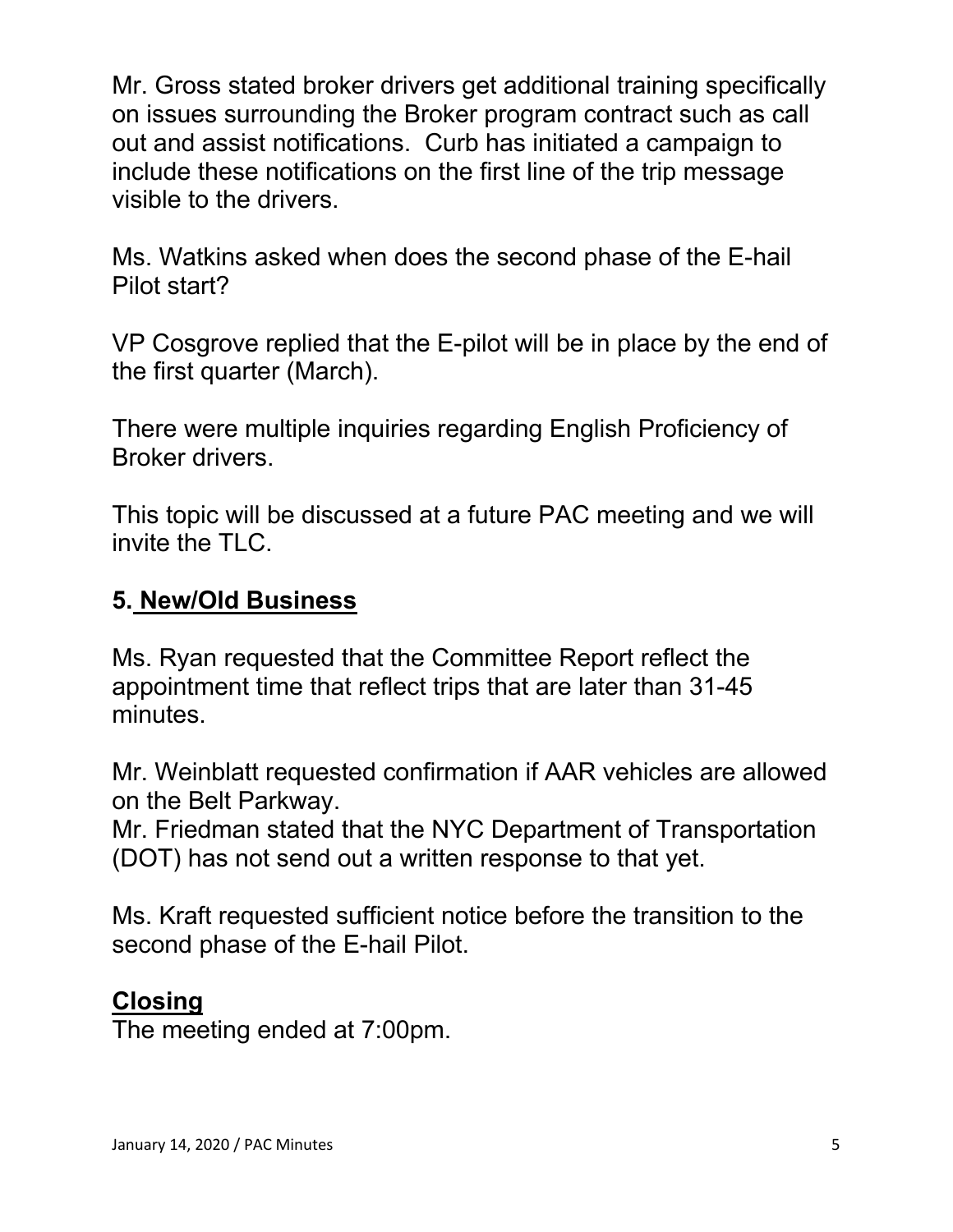Mr. Gross stated broker drivers get additional training specifically on issues surrounding the Broker program contract such as call out and assist notifications. Curb has initiated a campaign to include these notifications on the first line of the trip message visible to the drivers.

Ms. Watkins asked when does the second phase of the E-hail Pilot start?

VP Cosgrove replied that the E-pilot will be in place by the end of the first quarter (March).

There were multiple inquiries regarding English Proficiency of Broker drivers.

This topic will be discussed at a future PAC meeting and we will invite the TLC.

#### **5. New/Old Business**

Ms. Ryan requested that the Committee Report reflect the appointment time that reflect trips that are later than 31-45 minutes.

Mr. Weinblatt requested confirmation if AAR vehicles are allowed on the Belt Parkway.

Mr. Friedman stated that the NYC Department of Transportation (DOT) has not send out a written response to that yet.

Ms. Kraft requested sufficient notice before the transition to the second phase of the E-hail Pilot.

#### **Closing**

The meeting ended at 7:00pm.